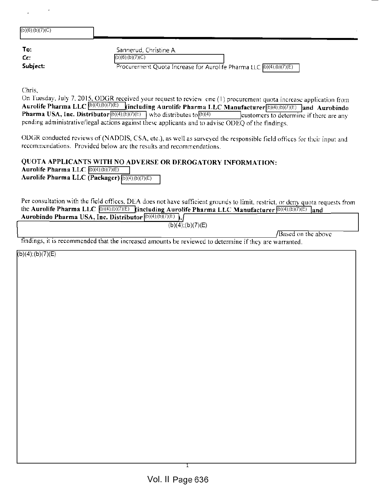| $(b)(6)$ ; $(b)(7)(C)$ |                                                                                               |
|------------------------|-----------------------------------------------------------------------------------------------|
| To:                    | Sannerud, Christine A.                                                                        |
| Cc:<br>Subject:        | $(b)(6)$ ; $(b)(7)(C)$<br>Procurement Quota Increase for Aurolife Pharma LLC (b)(4);(b)(7)(E) |

Chris,

On Tuesday, July 7, 2015, ODGR received your request to review one (1) procurement quota increase application from Aurolife Pharma LLC  $\boxed{[b](4),(b)(7)(E)}$  (including Aurolife Pharma LLC Manufacturer $\boxed{[b](4),(b)(7)(E)}$  and Aurobindo **Pharma USA, Inc. Distributor**  $(b)(4)$ ;(b)(7)(E) who distributes to  $(b)(4)$  customers to determine if there are any pending administrative/legal actions against these applicants and to advise ODEQ of the findings.

ODGR conducted reviews of (NADDIS, CSA, etc.), as well as surveyed the responsible field offices for their input and recommendations. Provided below are the results and recommendations.

#### QUOTA APPLICANTS WITH NO ADVERSE OR DEROGATORY INFORMATION:

Aurolife Pharma LLC  $(b)(4)$ ;(b)(7)(E) Aurolife Pharma LLC (Packager) (b)(4);(b)(7)(E)

Per consultation with the field offices, DEA does not have sufficient grounds to limit, restrict, or deny quota requests from the Aurolife Pharma LLC  $(b)(4)(b)(7)(E)$  (including Aurolife Pharma LLC Manufacturer  $(b)(4)(b)(7)(E)$  and

|  | Aurobindo Pharma USA, Inc. Distributor ${}^{(b)(4),(b)(7)(E)}$ . |   |  |
|--|------------------------------------------------------------------|---|--|
|  |                                                                  | . |  |

| (b)(4); (b)(7)(E) |  |
|-------------------|--|
|-------------------|--|

/Based on the above

findings, it is recommended that the increased amounts be reviewed to determine if they are warranted.

 $(b)(4); (b)(7)(E)$ 

T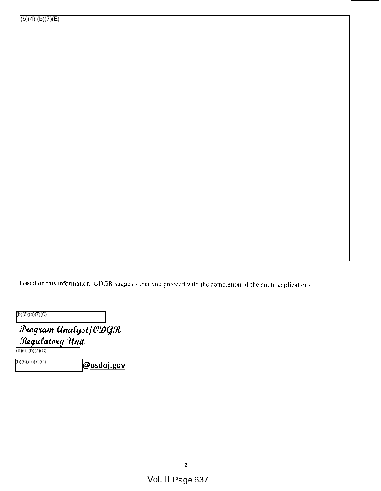$\ddot{\phantom{a}}$ 

Based on this information. ODGR suggests that you proceed with the completion of the quota applications.

(b)(6);(b)(7)(C)

 $f$ rogram  $\emph{dnalyst}/\emph{CD}$ GR Regulatory Unit :b)(6);(b)(7)(C)  $\overline{\omega_{us}}$   $\omega_{us}$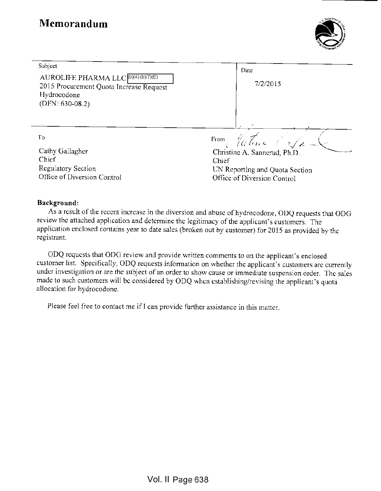# Memorandum



| Subject<br>AUROLIFE PHARMA LLC (D)(4);(b)(7)(E)<br>2015 Procurement Quota Increase Request<br>Hydrocodone<br>$(DFN: 630-08.2)$ | Date<br>7/2/2015               |
|--------------------------------------------------------------------------------------------------------------------------------|--------------------------------|
| To                                                                                                                             | From Retire CSa                |
| Cathy Gallagher                                                                                                                | Christine A. Sannerud, Ph.D.   |
| Chief                                                                                                                          | Chief                          |
| Regulatory Section                                                                                                             | UN Reporting and Quota Section |
| Office of Diversion Control                                                                                                    | Office of Diversion Control    |

#### Background:

As <sup>a</sup> result of the recent increase in the diversion and abuse of hydrocodone, ODQ requests that ODG review the attached application and determine the legitimacy of the applicant's customers. The application enclosed contains year to date sales (broken out by customer) for <sup>2015</sup> as provided by the registrant.

ODQ requests that ODG review and provide written comments to on the applicant's enclosed customer list. Specifically, ODQ requests information on whether the applicant's customers are currently under investigation or are the subject of an order to show cause or immediate suspension order. The sales made to such customers will be considered by ODQ when establishing/revising the applicant's quota allocation for hydrocodone.

Please feel free to contact me if <sup>I</sup> can provide further assistance in this matter.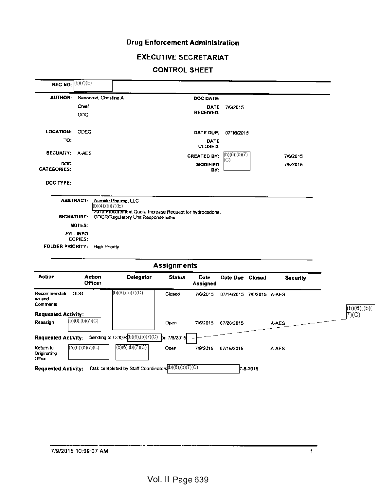# Drug Enforcement Administration

#### EXECUTIVE SECRETARIAT

## CONTROL SHEET

|                                    | <b>REG NO:</b> $\binom{(b)(7)(E)}{E}$                           |                                                                                                                           |                    |                               |                           |                 |                 |
|------------------------------------|-----------------------------------------------------------------|---------------------------------------------------------------------------------------------------------------------------|--------------------|-------------------------------|---------------------------|-----------------|-----------------|
| <b>AUTHOR:</b>                     | Sannerud, Christine A                                           |                                                                                                                           |                    | DOC DATE:                     |                           |                 |                 |
|                                    | Chief                                                           |                                                                                                                           |                    | DATE                          | 7/6/2015                  |                 |                 |
|                                    | ODQ                                                             |                                                                                                                           |                    | <b>RECEIVED:</b>              |                           |                 |                 |
| LOCATION:                          | ODEQ                                                            |                                                                                                                           |                    | DATE DUE:                     | 07/16/2015                |                 |                 |
| TO:                                |                                                                 |                                                                                                                           |                    | <b>DATE</b><br><b>CLOSED:</b> |                           |                 |                 |
| <b>SECURITY:</b>                   | A-AES                                                           |                                                                                                                           |                    | <b>CREATED BY:</b>            | (b)(6);(b)(7)             | 7/6/2015        |                 |
| DOC<br><b>CATEGORIES:</b>          |                                                                 |                                                                                                                           |                    | <b>MODIFIED</b><br>BY:        | C)                        | 7/6/2015        |                 |
| DOC TYPE:                          |                                                                 |                                                                                                                           |                    |                               |                           |                 |                 |
|                                    | <b>ABSTRACT:</b><br>$(b)(4)$ ; $(b)(7)(E)$<br><b>SIGNATURE:</b> | Aurolife Pharma, LLC<br>2015 Procurement Quota Increase Request for hydrocodone.<br>ODGR/Regulatory Unit Response letter. |                    |                               |                           |                 |                 |
|                                    |                                                                 |                                                                                                                           |                    |                               |                           |                 |                 |
|                                    |                                                                 |                                                                                                                           |                    |                               |                           |                 |                 |
|                                    | NOTES:<br>FYI - INFO                                            |                                                                                                                           |                    |                               |                           |                 |                 |
|                                    | <b>COPIES:</b>                                                  |                                                                                                                           |                    |                               |                           |                 |                 |
| <b>FOLDER PRIORITY:</b>            | <b>High Priority</b>                                            |                                                                                                                           |                    |                               |                           |                 |                 |
|                                    |                                                                 |                                                                                                                           | <b>Assignments</b> |                               |                           |                 |                 |
| Action                             | Action<br><b>Officer</b>                                        | <b>Delegator</b>                                                                                                          | <b>Status</b>      | <b>Date</b><br>Assigned       | Date Due Closed           | <b>Security</b> |                 |
| Recommendati<br>on and<br>Comments | <b>ODG</b>                                                      | (b)(6);(b)(7)(C)                                                                                                          | Closed             | 7/6/2015                      | 07/14/2015 7/6/2015 A-AES |                 |                 |
| <b>Requested Activity:</b>         |                                                                 |                                                                                                                           |                    |                               |                           |                 | $(b)(6)$ ; (b)( |
| Reassign                           | $(b)(6)$ ; $(b)(7)(C)$                                          |                                                                                                                           | Open               |                               | 7/6/2015 07/20/2015       | A-AES           | 7)(C)           |
|                                    |                                                                 | Requested Activity: Sending to ODGR(b)(6);(b)(7)(C)                                                                       | on 7/6/2015        |                               |                           |                 |                 |
| Return to<br>Originating<br>Office | $(b)(6)$ ; $(b)(7)(C)$                                          | $(b)(6)$ ; $(b)(7)(C)$                                                                                                    | Open               | 7/9/2015                      | 07/16/2015                | <b>A-AES</b>    |                 |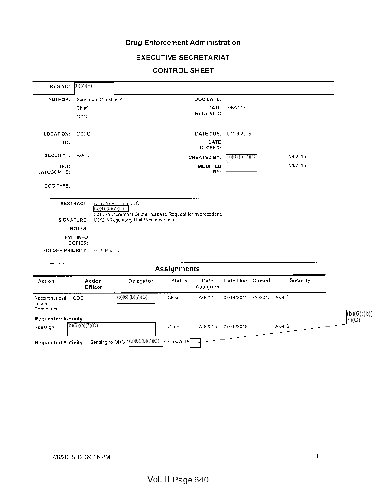# Drug Enforcement Administration

## EXECUTIVE SECRETARIAT

## CONTROL SHEET

| Action<br>Recommendati ODG<br>on and<br>Comments<br><b>Requested Activity:</b> | Officer             |                         | $(b)(6)$ ; $(b)(7)(C)$                                                                            | Closed                              | 7/6/2015               | 07/14/2015 7/6/2015 A-AES |          | (b)(6);(b)(<br>7)(C) |
|--------------------------------------------------------------------------------|---------------------|-------------------------|---------------------------------------------------------------------------------------------------|-------------------------------------|------------------------|---------------------------|----------|----------------------|
|                                                                                |                     |                         |                                                                                                   |                                     |                        |                           |          |                      |
|                                                                                |                     |                         | Delegator                                                                                         |                                     | Assigned               |                           |          |                      |
|                                                                                | Action              |                         |                                                                                                   | <b>Assignments</b><br><b>Status</b> | Date                   | Date Due Closed           | Security |                      |
| FOLDER PRIORITY:                                                               |                     | High Prior ty           |                                                                                                   |                                     |                        |                           |          |                      |
|                                                                                | FYI-INFO<br>COPIES: |                         |                                                                                                   |                                     |                        |                           |          |                      |
|                                                                                | NOTES:              |                         |                                                                                                   |                                     |                        |                           |          |                      |
|                                                                                | SIGNATURE:          | $(b)(4)$ ; $(b)(7)$ (E) | 2015 Procurement Quota Increase Request for hydrocodone.<br>ODGR/Regulatory Unit Response letter. |                                     |                        |                           |          |                      |
|                                                                                | <b>ABSTRACT:</b>    | Aurolife Pharma, LLC    |                                                                                                   |                                     |                        |                           |          |                      |
| DOC TYPE:                                                                      |                     |                         |                                                                                                   |                                     |                        |                           |          |                      |
| DOC<br>CATEGORIES:                                                             |                     |                         |                                                                                                   |                                     | <b>MODIFIED</b><br>BY: |                           | 7/6/2015 |                      |
| SECURITY: A-ALS                                                                |                     |                         |                                                                                                   |                                     | <b>CREATED BY:</b>     | $(b)(6)$ ; $(b)(7)(C)$    | //6/2015 |                      |
| TO:                                                                            |                     |                         |                                                                                                   |                                     | DATE<br>CLOSED:        |                           |          |                      |
| <b>LOCATION:</b>                                                               | ODEQ                |                         |                                                                                                   |                                     | DATE DUE:              | 07/16/2015                |          |                      |
|                                                                                | OOQ                 |                         |                                                                                                   |                                     | REGEIVED:              |                           |          |                      |
|                                                                                | Chief               |                         |                                                                                                   |                                     | <b>DATE</b>            | 7/6/2015                  |          |                      |
| AUTHOR:                                                                        |                     | Sannerud, Christine A   |                                                                                                   |                                     | DOC DATE:              |                           |          |                      |